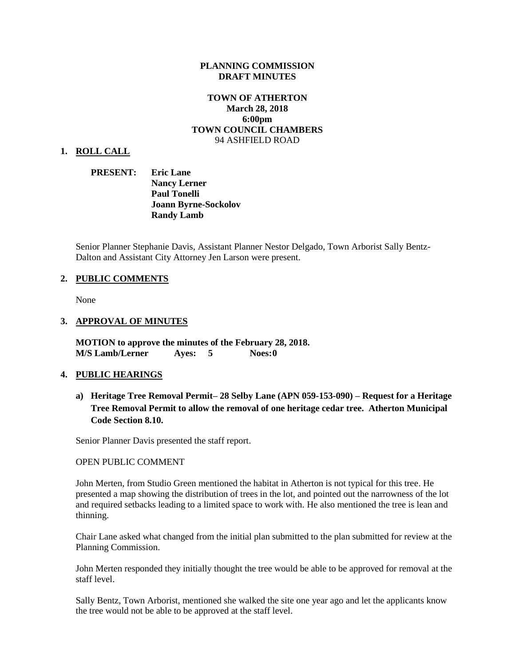#### **PLANNING COMMISSION DRAFT MINUTES**

### **TOWN OF ATHERTON March 28, 2018 6:00pm TOWN COUNCIL CHAMBERS** 94 ASHFIELD ROAD

#### **1. ROLL CALL**

### **PRESENT: Eric Lane Nancy Lerner Paul Tonelli Joann Byrne-Sockolov Randy Lamb**

Senior Planner Stephanie Davis, Assistant Planner Nestor Delgado, Town Arborist Sally Bentz-Dalton and Assistant City Attorney Jen Larson were present.

#### **2. PUBLIC COMMENTS**

None

#### **3. APPROVAL OF MINUTES**

**MOTION to approve the minutes of the February 28, 2018. M/S Lamb/Lerner Ayes: 5 Noes:0**

#### **4. PUBLIC HEARINGS**

**a) Heritage Tree Removal Permit– 28 Selby Lane (APN 059-153-090) – Request for a Heritage Tree Removal Permit to allow the removal of one heritage cedar tree. Atherton Municipal Code Section 8.10.**

Senior Planner Davis presented the staff report.

#### OPEN PUBLIC COMMENT

John Merten, from Studio Green mentioned the habitat in Atherton is not typical for this tree. He presented a map showing the distribution of trees in the lot, and pointed out the narrowness of the lot and required setbacks leading to a limited space to work with. He also mentioned the tree is lean and thinning.

Chair Lane asked what changed from the initial plan submitted to the plan submitted for review at the Planning Commission.

John Merten responded they initially thought the tree would be able to be approved for removal at the staff level.

Sally Bentz, Town Arborist, mentioned she walked the site one year ago and let the applicants know the tree would not be able to be approved at the staff level.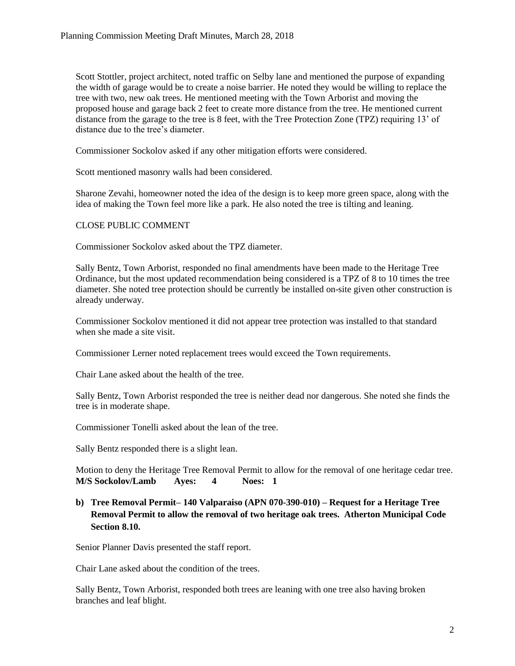Scott Stottler, project architect, noted traffic on Selby lane and mentioned the purpose of expanding the width of garage would be to create a noise barrier. He noted they would be willing to replace the tree with two, new oak trees. He mentioned meeting with the Town Arborist and moving the proposed house and garage back 2 feet to create more distance from the tree. He mentioned current distance from the garage to the tree is 8 feet, with the Tree Protection Zone (TPZ) requiring 13' of distance due to the tree's diameter.

Commissioner Sockolov asked if any other mitigation efforts were considered.

Scott mentioned masonry walls had been considered.

Sharone Zevahi, homeowner noted the idea of the design is to keep more green space, along with the idea of making the Town feel more like a park. He also noted the tree is tilting and leaning.

#### CLOSE PUBLIC COMMENT

Commissioner Sockolov asked about the TPZ diameter.

Sally Bentz, Town Arborist, responded no final amendments have been made to the Heritage Tree Ordinance, but the most updated recommendation being considered is a TPZ of 8 to 10 times the tree diameter. She noted tree protection should be currently be installed on-site given other construction is already underway.

Commissioner Sockolov mentioned it did not appear tree protection was installed to that standard when she made a site visit.

Commissioner Lerner noted replacement trees would exceed the Town requirements.

Chair Lane asked about the health of the tree.

Sally Bentz, Town Arborist responded the tree is neither dead nor dangerous. She noted she finds the tree is in moderate shape.

Commissioner Tonelli asked about the lean of the tree.

Sally Bentz responded there is a slight lean.

Motion to deny the Heritage Tree Removal Permit to allow for the removal of one heritage cedar tree. **M/S Sockolov/Lamb Ayes: 4 Noes: 1**

**b) Tree Removal Permit– 140 Valparaiso (APN 070-390-010) – Request for a Heritage Tree Removal Permit to allow the removal of two heritage oak trees. Atherton Municipal Code Section 8.10.**

Senior Planner Davis presented the staff report.

Chair Lane asked about the condition of the trees.

Sally Bentz, Town Arborist, responded both trees are leaning with one tree also having broken branches and leaf blight.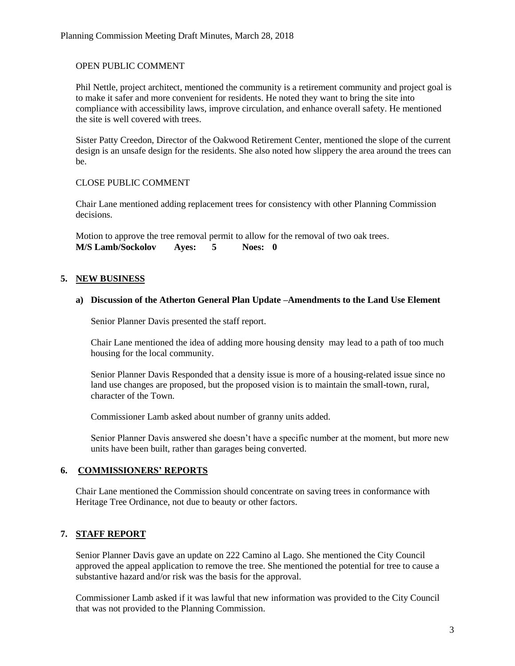### OPEN PUBLIC COMMENT

Phil Nettle, project architect, mentioned the community is a retirement community and project goal is to make it safer and more convenient for residents. He noted they want to bring the site into compliance with accessibility laws, improve circulation, and enhance overall safety. He mentioned the site is well covered with trees.

Sister Patty Creedon, Director of the Oakwood Retirement Center, mentioned the slope of the current design is an unsafe design for the residents. She also noted how slippery the area around the trees can be.

## CLOSE PUBLIC COMMENT

Chair Lane mentioned adding replacement trees for consistency with other Planning Commission decisions.

Motion to approve the tree removal permit to allow for the removal of two oak trees.<br>M/S Lamb/Sockolov Ayes: 5 Noes: 0 **M/S Lamb/Sockolov Ayes: 5 Noes: 0**

## **5. NEW BUSINESS**

### **a) Discussion of the Atherton General Plan Update –Amendments to the Land Use Element**

Senior Planner Davis presented the staff report.

Chair Lane mentioned the idea of adding more housing density may lead to a path of too much housing for the local community.

Senior Planner Davis Responded that a density issue is more of a housing-related issue since no land use changes are proposed, but the proposed vision is to maintain the small-town, rural, character of the Town.

Commissioner Lamb asked about number of granny units added.

Senior Planner Davis answered she doesn't have a specific number at the moment, but more new units have been built, rather than garages being converted.

## **6. COMMISSIONERS' REPORTS**

Chair Lane mentioned the Commission should concentrate on saving trees in conformance with Heritage Tree Ordinance, not due to beauty or other factors.

## **7. STAFF REPORT**

Senior Planner Davis gave an update on 222 Camino al Lago. She mentioned the City Council approved the appeal application to remove the tree. She mentioned the potential for tree to cause a substantive hazard and/or risk was the basis for the approval.

Commissioner Lamb asked if it was lawful that new information was provided to the City Council that was not provided to the Planning Commission.